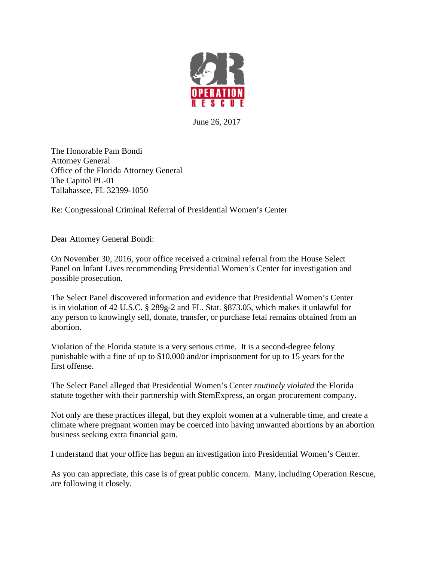

June 26, 2017

The Honorable Pam Bondi Attorney General Office of the Florida Attorney General The Capitol PL-01 Tallahassee, FL 32399-1050

Re: Congressional Criminal Referral of Presidential Women's Center

Dear Attorney General Bondi:

On November 30, 2016, your office received a criminal referral from the House Select Panel on Infant Lives recommending Presidential Women's Center for investigation and possible prosecution.

The Select Panel discovered information and evidence that Presidential Women's Center is in violation of 42 U.S.C. § 289g-2 and FL. Stat. §873.05, which makes it unlawful for any person to knowingly sell, donate, transfer, or purchase fetal remains obtained from an abortion.

Violation of the Florida statute is a very serious crime. It is a second-degree felony punishable with a fine of up to \$10,000 and/or imprisonment for up to 15 years for the first offense.

The Select Panel alleged that Presidential Women's Center *routinely violated* the Florida statute together with their partnership with StemExpress, an organ procurement company.

Not only are these practices illegal, but they exploit women at a vulnerable time, and create a climate where pregnant women may be coerced into having unwanted abortions by an abortion business seeking extra financial gain.

I understand that your office has begun an investigation into Presidential Women's Center.

As you can appreciate, this case is of great public concern. Many, including Operation Rescue, are following it closely.